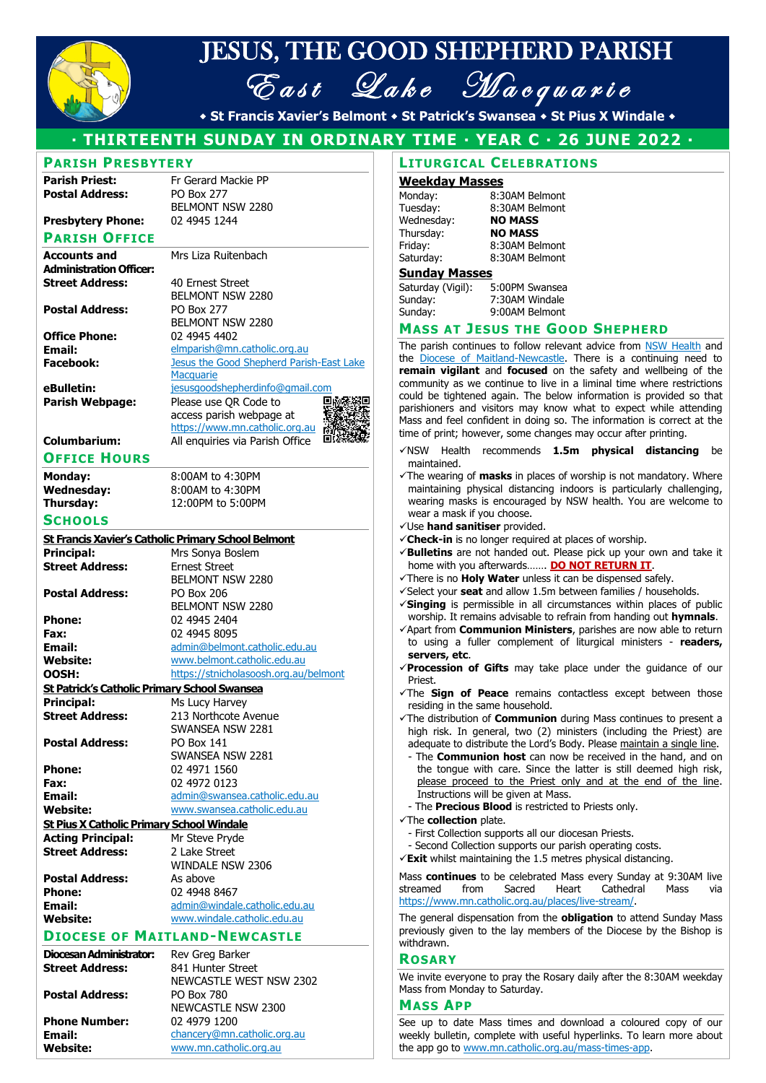

# JESUS, THE GOOD SHEPHERD PARISH East Lake Macquarie

**St Francis Xavier's Belmont St Patrick's Swansea St Pius X Windale** 

# **THIRTEENTH SUNDAY IN ORDINARY TIME YEAR C 26 JUNE 2022**

|                                                  |                                                     | · THIRTEENTH SUNDAY IN ORDINARY TIME · YEAR C · 26 JI       |
|--------------------------------------------------|-----------------------------------------------------|-------------------------------------------------------------|
| <b>PARISH PRESBYTERY</b>                         |                                                     | <b>LITURGICAL CELEBRATIONS</b>                              |
| <b>Parish Priest:</b>                            | Fr Gerard Mackie PP                                 | <b>Weekday Masses</b>                                       |
| <b>Postal Address:</b>                           | <b>PO Box 277</b>                                   |                                                             |
|                                                  | BELMONT NSW 2280                                    | Monday:<br>8:30AM Belmont                                   |
|                                                  |                                                     | Tuesday:<br>8:30AM Belmont                                  |
| <b>Presbytery Phone:</b>                         | 02 4945 1244                                        | Wednesday:<br><b>NO MASS</b>                                |
| <b>PARISH OFFICE</b>                             |                                                     | Thursday:<br><b>NO MASS</b>                                 |
|                                                  |                                                     | Friday:<br>8:30AM Belmont                                   |
| <b>Accounts and</b>                              | Mrs Liza Ruitenbach                                 | Saturday:<br>8:30AM Belmont                                 |
| <b>Administration Officer:</b>                   |                                                     | <b>Sunday Masses</b>                                        |
| <b>Street Address:</b>                           | 40 Ernest Street                                    | Saturday (Vigil):<br>5:00PM Swansea                         |
|                                                  | <b>BELMONT NSW 2280</b>                             | Sunday:<br>7:30AM Windale                                   |
| <b>Postal Address:</b>                           | <b>PO Box 277</b>                                   | Sunday:<br>9:00AM Belmont                                   |
|                                                  | <b>BELMONT NSW 2280</b>                             |                                                             |
| <b>Office Phone:</b>                             | 02 4945 4402                                        | <b>MASS AT JESUS THE GOOD S</b>                             |
|                                                  |                                                     | The parish continues to follow relevant ad                  |
| Email:                                           | elmparish@mn.catholic.org.au                        | the Diocese of Maitland-Newcastle. There                    |
| <b>Facebook:</b>                                 | Jesus the Good Shepherd Parish-East Lake            | remain vigilant and focused on the sa                       |
|                                                  | <b>Macquarie</b>                                    | community as we continue to live in a limi                  |
| eBulletin:                                       | jesusgoodshepherdinfo@gmail.com                     |                                                             |
| <b>Parish Webpage:</b>                           | Please use QR Code to                               | could be tightened again. The below infor                   |
|                                                  | access parish webpage at                            | parishioners and visitors may know what                     |
|                                                  | https://www.mn.catholic.org.au                      | Mass and feel confident in doing so. The ir                 |
|                                                  |                                                     | time of print; however, some changes may                    |
| <b>Columbarium:</b>                              | All enquiries via Parish Office                     | Health recommends 1.5m <b>p</b><br>✓NSW                     |
| <b>OFFICE HOURS</b>                              |                                                     | maintained.                                                 |
|                                                  |                                                     |                                                             |
| Monday:                                          | 8:00AM to 4:30PM                                    | $\checkmark$ The wearing of <b>masks</b> in places of worsh |
| <b>Wednesday:</b>                                | 8:00AM to 4:30PM                                    | maintaining physical distancing indoors                     |
| Thursday:                                        | 12:00PM to 5:00PM                                   | wearing masks is encouraged by NSW h                        |
| <b>SCHOOLS</b>                                   |                                                     | wear a mask if you choose.                                  |
|                                                  |                                                     | √Use hand sanitiser provided.                               |
|                                                  | St Francis Xavier's Catholic Primary School Belmont | √ Check-in is no longer required at places                  |
| <b>Principal:</b>                                | Mrs Sonya Boslem                                    | √Bulletins are not handed out. Please pid                   |
| <b>Street Address:</b>                           | <b>Ernest Street</b>                                | home with you afterwards <b>DO NOT I</b>                    |
|                                                  | BELMONT NSW 2280                                    | There is no <b>Holy Water</b> unless it can be              |
|                                                  |                                                     |                                                             |
| <b>Postal Address:</b>                           | <b>PO Box 206</b>                                   | √Select your seat and allow 1.5m between                    |
|                                                  | BELMONT NSW 2280                                    | √Singing is permissible in all circumstan                   |
| <b>Phone:</b>                                    | 02 4945 2404                                        | worship. It remains advisable to refrain fre                |
| Fax:                                             | 02 4945 8095                                        | √Apart from Communion Ministers, paris                      |
| Email:                                           | admin@belmont.catholic.edu.au                       | to using a fuller complement of liturg                      |
| <b>Website:</b>                                  | www.belmont.catholic.edu.au                         | servers, etc.                                               |
|                                                  | https://stnicholasoosh.org.au/belmont               | Procession of Gifts may take place u                        |
| OOSH:                                            |                                                     | Priest.                                                     |
| St Patrick's Catholic Primary School Swansea     |                                                     | The Sign of Peace remains contactle                         |
| Principal:                                       | Ms Lucy Harvey                                      | residing in the same household.                             |
| <b>Street Address:</b>                           | 213 Northcote Avenue                                | $\checkmark$ The distribution of <b>Communion</b> during N  |
|                                                  | SWANSEA NSW 2281                                    | high risk. In general, two (2) ministers                    |
| <b>Postal Address:</b>                           | <b>PO Box 141</b>                                   | adequate to distribute the Lord's Body. Plo                 |
|                                                  | SWANSEA NSW 2281                                    | - The <b>Communion host</b> can now be re                   |
|                                                  |                                                     |                                                             |
| <b>Phone:</b>                                    | 02 4971 1560                                        | the tonque with care. Since the latter                      |
| Fax:                                             | 02 4972 0123                                        | please proceed to the Priest only an                        |
| <b>Email:</b>                                    | admin@swansea.catholic.edu.au                       | Instructions will be given at Mass.                         |
| <b>Website:</b>                                  | www.swansea.catholic.edu.au                         | - The Precious Blood is restricted to Prie                  |
| <b>St Pius X Catholic Primary School Windale</b> |                                                     | The collection plate.                                       |
|                                                  |                                                     | - First Collection supports all our diocesan                |
| <b>Acting Principal:</b>                         | Mr Steve Pryde                                      | - Second Collection supports our parish op                  |
| <b>Street Address:</b>                           | 2 Lake Street                                       | $\checkmark$ Exit whilst maintaining the 1.5 metres ph      |
|                                                  | WINDALE NSW 2306                                    |                                                             |
| <b>Postal Address:</b>                           | As above                                            | Mass continues to be celebrated Mass ev                     |
| <b>Phone:</b>                                    | 02 4948 8467                                        | streamed<br>from<br>Sacred<br>Heart                         |
|                                                  |                                                     | https://www.mn.catholic.org.au/places/live-                 |
| Email:                                           | admin@windale.catholic.edu.au                       |                                                             |
| <b>Website:</b>                                  | www.windale.catholic.edu.au                         | The general dispensation from the obligat                   |
|                                                  | <b>DIOCESE OF MAITLAND-NEWCASTLE</b>                | previously given to the lay members of the                  |
|                                                  |                                                     | withdrawn.                                                  |
| Diocesan Administrator:                          | Rev Greg Barker                                     | <b>ROSARY</b>                                               |
| <b>Street Address:</b>                           | 841 Hunter Street                                   |                                                             |
|                                                  | NEWCASTLE WEST NSW 2302                             | We invite everyone to pray the Rosary daily                 |
|                                                  |                                                     | Mass from Monday to Saturday.                               |
| <b>Postal Address:</b>                           | PO Box 780                                          | <b>MASS APP</b>                                             |
|                                                  | NEWCASTLE NSW 2300                                  |                                                             |
| <b>Phone Number:</b>                             | 02 4979 1200                                        | See up to date Mass times and downloa                       |

## **Weekday Masses**

| Monday:    | 8:30AM Belmont |
|------------|----------------|
| Tuesday:   | 8:30AM Belmont |
| Wednesday: | <b>NO MASS</b> |
| Thursday:  | <b>NO MASS</b> |
| Friday:    | 8:30AM Belmont |
| Saturday:  | 8:30AM Belmont |
|            |                |

# **Sunday Masses**

| Saturday (Vigil): | 5:00PM Swansea |
|-------------------|----------------|
| Sunday:           | 7:30AM Windale |
| Sunday:           | 9:00AM Belmont |

# **MASS AT JESUS THE GOOD SHEPHERD**

The parish continues to follow relevant advice from [NSW Health](https://legislation.nsw.gov.au/information/covid19-legislation/general) and the **Diocese of Maitland-Newcastle**. There is a continuing need to **remain vigilant** and **focused** on the safety and wellbeing of the community as we continue to live in a liminal time where restrictions could be tightened again. The below information is provided so that parishioners and visitors may know what to expect while attending Mass and feel confident in doing so. The information is correct at the time of print; however, some changes may occur after printing.

- ✓NSW Health recommends **1.5m physical distancing** be maintained.
- ✓The wearing of **masks** in places of worship is not mandatory. Where maintaining physical distancing indoors is particularly challenging, wearing masks is encouraged by NSW health. You are welcome to wear a mask if you choose.
- ✓Use **hand sanitiser** provided.
- ✓**Check-in** is no longer required at places of worship.
- ✓**Bulletins** are not handed out. Please pick up your own and take it home with you afterwards……. **DO NOT RETURN IT**.
- ✓There is no **Holy Water** unless it can be dispensed safely.
- ✓Select your **seat** and allow 1.5m between families / households.
- ✓**Singing** is permissible in all circumstances within places of public worship. It remains advisable to refrain from handing out **hymnals**.
- ✓Apart from **Communion Ministers**, parishes are now able to return to using a fuller complement of liturgical ministers - **readers, servers, etc**.
- ✓**Procession of Gifts** may take place under the guidance of our Priest.
- ✓The **Sign of Peace** remains contactless except between those residing in the same household.
- ✓The distribution of **Communion** during Mass continues to present a high risk. In general, two (2) ministers (including the Priest) are adequate to distribute the Lord's Body. Please maintain a single line.
	- The **Communion host** can now be received in the hand, and on the tongue with care. Since the latter is still deemed high risk, please proceed to the Priest only and at the end of the line. Instructions will be given at Mass.
	- The **Precious Blood** is restricted to Priests only.
- ✓The **collection** plate.
	- First Collection supports all our diocesan Priests.
	- Second Collection supports our parish operating costs.
- ✓**Exit** whilst maintaining the 1.5 metres physical distancing.

Mass **continues** to be celebrated Mass every Sunday at 9:30AM live streamed from Sacred Heart Cathedral Mass via [https://www.mn.catholic.org.au/places/live-stream/.](https://www.mn.catholic.org.au/places/live-stream/)

The general dispensation from the **obligation** to attend Sunday Mass previously given to the lay members of the Diocese by the Bishop is withdrawn.

# **ROSARY**

We invite everyone to pray the Rosary daily after the 8:30AM weekday Mass from Monday to Saturday.

#### **MASS APP**

See up to date Mass times and download a coloured copy of our weekly bulletin, complete with useful hyperlinks. To learn more about the app go to [www.mn.catholic.org.au/mass-times-app.](https://www.mn.catholic.org.au/mass-times-app/)

**Email:** [chancery@mn.catholic.org.au](mailto:chancery@mn.catholic.org.au)<br> **Website:** www.mn.catholic.org.au **Website:** [www.mn.catholic.org.au](http://www.mn.catholic.org.au/)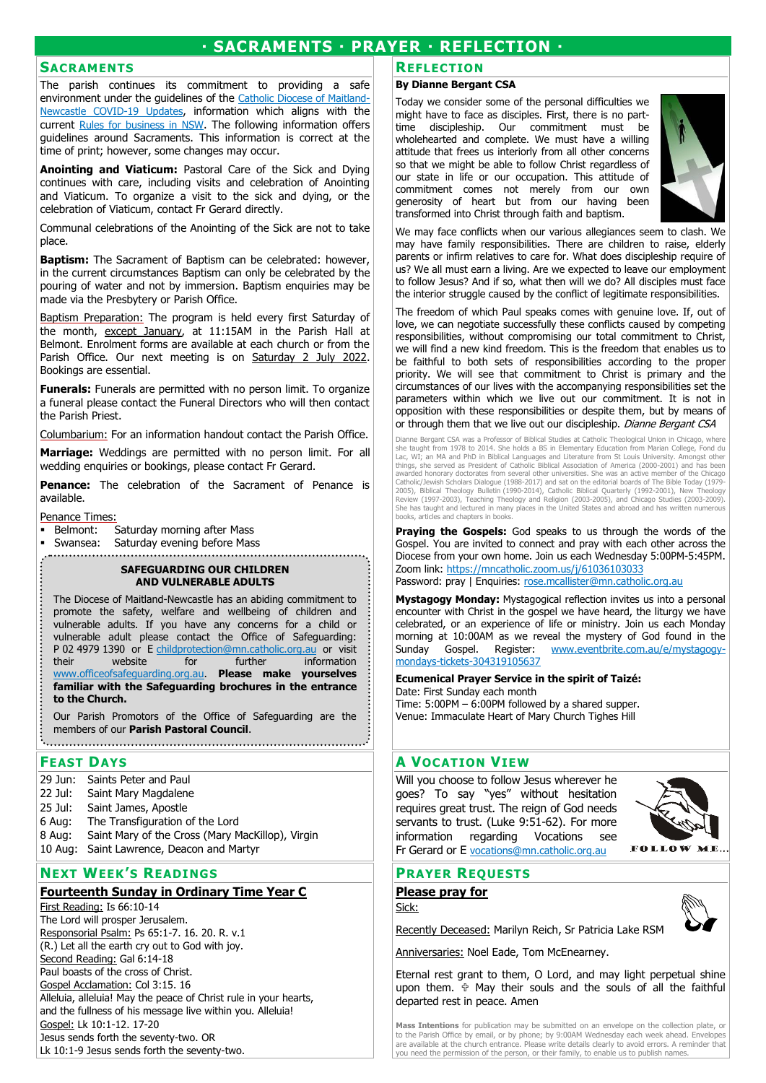# **· SACRAMENTS · PRAYER · REFLECTION ·**

### **SACRAMENTS**

The parish continues its commitment to providing a safe environment under the guidelines of the Catholic Diocese of Maitland-Newcastle COVID-19 Updates, information which aligns with the current Rules for business in NSW. The following information offers guidelines around Sacraments. This information is correct at the time of print; however, some changes may occur.

**Anointing and Viaticum:** Pastoral Care of the Sick and Dying continues with care, including visits and celebration of Anointing and Viaticum. To organize a visit to the sick and dying, or the celebration of Viaticum, contact Fr Gerard directly.

Communal celebrations of the Anointing of the Sick are not to take place.

**Baptism:** The Sacrament of Baptism can be celebrated: however, in the current circumstances Baptism can only be celebrated by the pouring of water and not by immersion. Baptism enquiries may be made via the Presbytery or Parish Office.

Baptism Preparation: The program is held every first Saturday of the month, except January, at 11:15AM in the Parish Hall at Belmont. Enrolment forms are available at each church or from the Parish Office. Our next meeting is on Saturday 2 July 2022. Bookings are essential.

**Funerals:** Funerals are permitted with no person limit. To organize a funeral please contact the Funeral Directors who will then contact the Parish Priest.

Columbarium: For an information handout contact the Parish Office.

**Marriage:** Weddings are permitted with no person limit. For all wedding enquiries or bookings, please contact Fr Gerard.

**Penance:** The celebration of the Sacrament of Penance is available.

Penance Times:

- **Belmont:** Saturday morning after Mass
- Swansea: Saturday evening before Mass

# **SAFEGUARDING OUR CHILDREN**

#### **AND VULNERABLE ADULTS**

The Diocese of Maitland-Newcastle has an abiding commitment to promote the safety, welfare and wellbeing of children and vulnerable adults. If you have any concerns for a child or vulnerable adult please contact the Office of Safeguarding: P 02 4979 1390 or E childprotection@mn.catholic.org.au or visit their website for further information www.officeofsafeguarding.org.au. **Please make yourselves familiar with the Safeguarding brochures in the entrance to the Church.**

Our Parish Promotors of the Office of Safeguarding are the members of our **Parish Pastoral Council**.

#### **SACRAM:** OUR CURRENT PARISH SACRAMENTAL PROGRAM: OUR CURRENT PARISH SACRAMENTAL PROGRAM: **OUR CURRENT PARISH SACRAMENTAL PROGRAM FEAST DAYS**

- $\frac{1}{20 \text{ km}}$  Cointe Retained Roy (Communication is in progress). The program for Confession is for children in Year 2 upwards, and 29 Jun: Saints Peter and Paul
- $\mathsf{z}\mathsf{z}$  but  $\mathsf{z}\mathsf{z}$  communication and  $\mathsf{z}\mathsf{z}$  are for  $\mathsf{z}\mathsf{z}$  are for  $\mathsf{z}\mathsf{z}$  are for  $\mathsf{z}\mathsf{z}$ 22 Jul: Saint Mary Magdalene
- $25 \text{ J} \text{u}$ : Saint James, Aposue 25 Jul: Saint James, Apostle
- 6 Aug: The Transfiguration of the Lord
- 8 Aug: Saint Mary of the Cross (Mary MacKillop), Virgin
- 10 Aug: Saint Lawrence, Deacon and Martyr

# 15 Aug: The Assumption of the Blessed Virgin Mary **NEXT WEEK'S READINGS**

# **Fourteenth Sunday in Ordinary Time Year C**

First Reading: Is 66:10-14 The Lord will prosper Jerusalem. Responsorial Psalm: Ps 65:1-7. 16. 20. R. v.1 (R.) Let all the earth cry out to God with joy. Second Reading: Gal 6:14-18 Paul boasts of the cross of Christ. Gospel Acclamation: Col 3:15. 16 Alleluia, alleluia! May the peace of Christ rule in your hearts, and the fullness of his message live within you. Alleluia! Gospel: Lk 10:1-12. 17-20 Jesus sends forth the seventy-two. OR Lk 10:1-9 Jesus sends forth the seventy-two.

#### **REFLECTION**

#### **By Dianne Bergant CSA**

Today we consider some of the personal difficulties we might have to face as disciples. First, there is no parttime discipleship. Our commitment must be wholehearted and complete. We must have a willing attitude that frees us interiorly from all other concerns so that we might be able to follow Christ regardless of our state in life or our occupation. This attitude of commitment comes not merely from our own generosity of heart but from our having been transformed into Christ through faith and baptism.



We may face conflicts when our various allegiances seem to clash. We may have family responsibilities. There are children to raise, elderly parents or infirm relatives to care for. What does discipleship require of us? We all must earn a living. Are we expected to leave our employment to follow Jesus? And if so, what then will we do? All disciples must face the interior struggle caused by the conflict of legitimate responsibilities.

The freedom of which Paul speaks comes with genuine love. If, out of love, we can negotiate successfully these conflicts caused by competing responsibilities, without compromising our total commitment to Christ, we will find a new kind freedom. This is the freedom that enables us to be faithful to both sets of responsibilities according to the proper priority. We will see that commitment to Christ is primary and the circumstances of our lives with the accompanying responsibilities set the parameters within which we live out our commitment. It is not in opposition with these responsibilities or despite them, but by means of or through them that we live out our discipleship. Dianne Bergant CSA

Dianne Bergant CSA was a Professor of Biblical Studies at Catholic Theological Union in Chicago, where<br>she taught from 1978 to 2014. She holds a BS in Elementary Education from Marian College, Fond du<br>Lac, WI; an MA and Ph Catholic/Jewish Scholars Dialogue (1988-2017) and sat on the editorial boards of The Bible Today (1979-2005), Biblical Theology Bulletin (1990-2014), Catholic Biblical Quarterly (1992-2001), New Theology<br>Review (1997-2003)

**Praying the Gospels:** God speaks to us through the words of the Gospel. You are invited to connect and pray with each other across the Diocese from your own home. Join us each Wednesday 5:00PM‐5:45PM. Zoom link: https://mncatholic.zoom.us/j/61036103033 Password: pray | Enquiries: rose.mcallister@mn.catholic.org.au

**Mystagogy Monday:** Mystagogical reflection invites us into a personal encounter with Christ in the gospel we have heard, the liturgy we have celebrated, or an experience of life or ministry. Join us each Monday morning at 10:00AM as we reveal the mystery of God found in the Sunday Gospel. Register: www.eventbrite.com.au/e/mystagogymondays-tickets-304319105637

## **Ecumenical Prayer Service in the spirit of Taizé:**  Date: First Sunday each month

Time: 5:00PM – 6:00PM followed by a shared supper. Venue: Immaculate Heart of Mary Church Tighes Hill

# **A VOCATION VIEW**

Will you choose to follow Jesus wherever he goes? To say "yes" without hesitation requires great trust. The reign of God needs servants to trust. (Luke 9:51-62). For more information regarding Vocations see Fr Gerard or E vocations@mn.catholic.org.au



# **PRAYER REQUESTS**

**Please pray for** Sick:

Recently Deceased: Marilyn Reich, Sr Patricia Lake RSM

Anniversaries: Noel Eade, Tom McEnearney.

Eternal rest grant to them, O Lord, and may light perpetual shine upon them.  $\oplus$  May their souls and the souls of all the faithful departed rest in peace. Amen

**Mass Intentions** for publication may be submitted on an envelope on the collection plate, or to the Parish Office by email, or by phone; by 9:00AM Wednesday each week ahead. Envelopes are available at the church entrance. Please write details clearly to avoid errors. A reminder that you need the permission of the person, or their family, to enable us to publish names.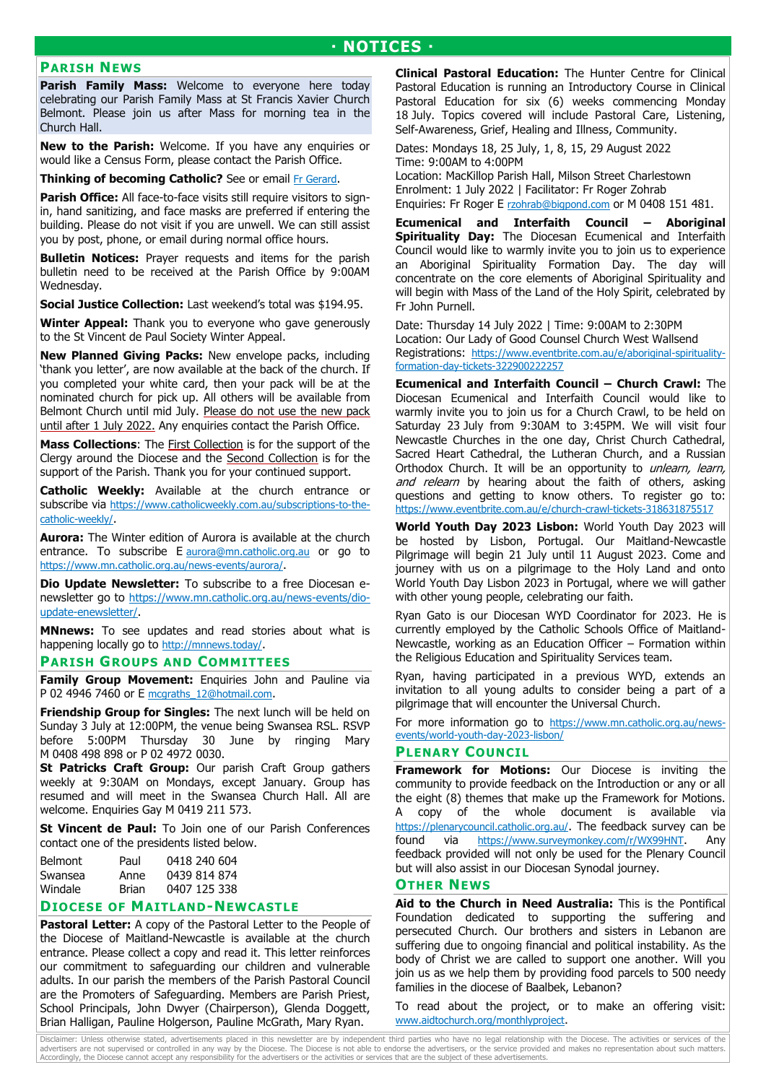# **PARISH NEWS**

**Parish Family Mass:** Welcome to everyone here today celebrating our Parish Family Mass at St Francis Xavier Church Belmont. Please join us after Mass for morning tea in the Church Hall.

**New to the Parish:** Welcome. If you have any enquiries or would like a Census Form, please contact the Parish Office.

**Thinking of becoming Catholic?** See or email Fr Gerard.

**Parish Office:** All face-to-face visits still require visitors to signin, hand sanitizing, and face masks are preferred if entering the building. Please do not visit if you are unwell. We can still assist you by post, phone, or email during normal office hours.

**Bulletin Notices:** Prayer requests and items for the parish bulletin need to be received at the Parish Office by 9:00AM Wednesday.

**Social Justice Collection:** Last weekend's total was \$194.95.

**Winter Appeal:** Thank you to everyone who gave generously to the St Vincent de Paul Society Winter Appeal.

**New Planned Giving Packs:** New envelope packs, including 'thank you letter', are now available at the back of the church. If you completed your white card, then your pack will be at the nominated church for pick up. All others will be available from Belmont Church until mid July. Please do not use the new pack until after 1 July 2022. Any enquiries contact the Parish Office.

**Mass Collections**: The First Collection is for the support of the Clergy around the Diocese and the Second Collection is for the support of the Parish. Thank you for your continued support.

**Catholic Weekly:** Available at the church entrance or subscribe via https://www.catholicweekly.com.au/subscriptions-to-thecatholic-weekly/.

**Aurora:** The Winter edition of Aurora is available at the church entrance. To subscribe E aurora@mn.catholic.org.au or go to https://www.mn.catholic.org.au/news-events/aurora/.

**Dio Update Newsletter:** To subscribe to a free Diocesan enewsletter go to https://www.mn.catholic.org.au/news-events/dioupdate-enewsletter/.

**MNnews:** To see updates and read stories about what is happening locally go to http://mnnews.today/.

### **PARISH GROUPS AND COMMITTEES**

**Family Group Movement:** Enquiries John and Pauline via P 02 4946 7460 or E mcgraths\_12@hotmail.com.

**Friendship Group for Singles:** The next lunch will be held on Sunday 3 July at 12:00PM, the venue being Swansea RSL. RSVP before 5:00PM Thursday 30 June by ringing Mary M 0408 498 898 or P 02 4972 0030.

**St Patricks Craft Group:** Our parish Craft Group gathers weekly at 9:30AM on Mondays, except January. Group has resumed and will meet in the Swansea Church Hall. All are welcome. Enquiries Gay M 0419 211 573.

**St Vincent de Paul:** To Join one of our Parish Conferences contact one of the presidents listed below.

| Paul         | 0418 240 604 |
|--------------|--------------|
| Anne         | 0439 814 874 |
| <b>Brian</b> | 0407 125 338 |
|              |              |

# **DIOCESE OF MAITLAND-NEWCASTLE**

**Pastoral Letter:** A copy of the Pastoral Letter to the People of the Diocese of Maitland-Newcastle is available at the church entrance. Please collect a copy and read it. This letter reinforces our commitment to safeguarding our children and vulnerable adults. In our parish the members of the Parish Pastoral Council are the Promoters of Safeguarding. Members are Parish Priest, School Principals, John Dwyer (Chairperson), Glenda Doggett, Brian Halligan, Pauline Holgerson, Pauline McGrath, Mary Ryan.

**Clinical Pastoral Education:** The Hunter Centre for Clinical Pastoral Education is running an Introductory Course in Clinical Pastoral Education for six (6) weeks commencing Monday 18 July. Topics covered will include Pastoral Care, Listening, Self-Awareness, Grief, Healing and Illness, Community.

Dates: Mondays 18, 25 July, 1, 8, 15, 29 August 2022 Time: 9:00AM to 4:00PM

Location: MacKillop Parish Hall, Milson Street Charlestown Enrolment: 1 July 2022 | Facilitator: Fr Roger Zohrab Enquiries: Fr Roger E rzohrab@bigpond.com or M 0408 151 481.

**Ecumenical and Interfaith Council – Aboriginal Spirituality Day:** The Diocesan Ecumenical and Interfaith Council would like to warmly invite you to join us to experience an Aboriginal Spirituality Formation Day. The day will concentrate on the core elements of Aboriginal Spirituality and will begin with Mass of the Land of the Holy Spirit, celebrated by Fr John Purnell.

Date: Thursday 14 July 2022 | Time: 9:00AM to 2:30PM Location: Our Lady of Good Counsel Church West Wallsend Registrations: https://www.eventbrite.com.au/e/aboriginal-spiritualityformation-day-tickets-322900222257

**Ecumenical and Interfaith Council – Church Crawl:** The Diocesan Ecumenical and Interfaith Council would like to warmly invite you to join us for a Church Crawl, to be held on Saturday 23 July from 9:30AM to 3:45PM. We will visit four Newcastle Churches in the one day, Christ Church Cathedral, Sacred Heart Cathedral, the Lutheran Church, and a Russian Orthodox Church. It will be an opportunity to unlearn, learn, and relearn by hearing about the faith of others, asking questions and getting to know others. To register go to: https://www.eventbrite.com.au/e/church-crawl-tickets-318631875517

**World Youth Day 2023 Lisbon:** World Youth Day 2023 will be hosted by Lisbon, Portugal. Our Maitland-Newcastle Pilgrimage will begin 21 July until 11 August 2023. Come and journey with us on a pilgrimage to the Holy Land and onto World Youth Day Lisbon 2023 in Portugal, where we will gather with other young people, celebrating our faith.

Ryan Gato is our Diocesan WYD Coordinator for 2023. He is currently employed by the Catholic Schools Office of Maitland-Newcastle, working as an Education Officer – Formation within the Religious Education and Spirituality Services team.

Ryan, having participated in a previous WYD, extends an invitation to all young adults to consider being a part of a pilgrimage that will encounter the Universal Church.

For more information go to https://www.mn.catholic.org.au/newsevents/world-youth-day-2023-lisbon/

# **PLENARY COUNCIL**

**Framework for Motions:** Our Diocese is inviting the community to provide feedback on the Introduction or any or all the eight (8) themes that make up the Framework for Motions. A copy of the whole document is available via https://plenarycouncil.catholic.org.au/. The feedback survey can be found via https://www.surveymonkey.com/r/WX99HNT. Any feedback provided will not only be used for the Plenary Council but will also assist in our Diocesan Synodal journey.

# **OTHER NEWS**

**Aid to the Church in Need Australia:** This is the Pontifical Foundation dedicated to supporting the suffering and persecuted Church. Our brothers and sisters in Lebanon are suffering due to ongoing financial and political instability. As the body of Christ we are called to support one another. Will you join us as we help them by providing food parcels to 500 needy families in the diocese of Baalbek, Lebanon?

To read about the project, or to make an offering visit: www.aidtochurch.org/monthlyproject.

Disclaimer: Unless otherwise stated, advertisements placed in this newsletter are by independent third parties who have no legal relationship with the Diocese. The activities or services of the<br>advertisers are not supervis Accordingly, the Diocese cannot accept any responsibility for the advertisers or the activities or services that are the subject of these advertisements.